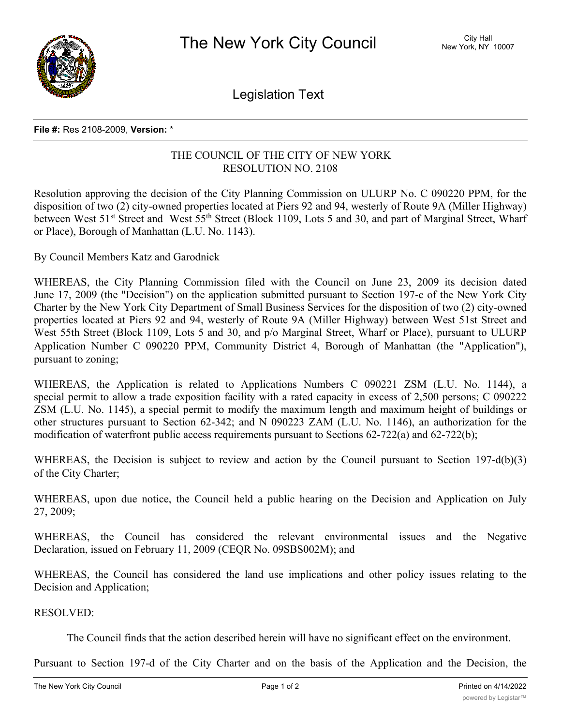

Legislation Text

## **File #:** Res 2108-2009, **Version:** \*

## THE COUNCIL OF THE CITY OF NEW YORK RESOLUTION NO. 2108

Resolution approving the decision of the City Planning Commission on ULURP No. C 090220 PPM, for the disposition of two (2) city-owned properties located at Piers 92 and 94, westerly of Route 9A (Miller Highway) between West 51<sup>st</sup> Street and West 55<sup>th</sup> Street (Block 1109, Lots 5 and 30, and part of Marginal Street, Wharf or Place), Borough of Manhattan (L.U. No. 1143).

By Council Members Katz and Garodnick

WHEREAS, the City Planning Commission filed with the Council on June 23, 2009 its decision dated June 17, 2009 (the "Decision") on the application submitted pursuant to Section 197-c of the New York City Charter by the New York City Department of Small Business Services for the disposition of two (2) city-owned properties located at Piers 92 and 94, westerly of Route 9A (Miller Highway) between West 51st Street and West 55th Street (Block 1109, Lots 5 and 30, and p/o Marginal Street, Wharf or Place), pursuant to ULURP Application Number C 090220 PPM, Community District 4, Borough of Manhattan (the "Application"), pursuant to zoning;

WHEREAS, the Application is related to Applications Numbers C 090221 ZSM (L.U. No. 1144), a special permit to allow a trade exposition facility with a rated capacity in excess of 2,500 persons; C 090222 ZSM (L.U. No. 1145), a special permit to modify the maximum length and maximum height of buildings or other structures pursuant to Section 62-342; and N 090223 ZAM (L.U. No. 1146), an authorization for the modification of waterfront public access requirements pursuant to Sections 62-722(a) and 62-722(b);

WHEREAS, the Decision is subject to review and action by the Council pursuant to Section 197-d(b)(3) of the City Charter;

WHEREAS, upon due notice, the Council held a public hearing on the Decision and Application on July 27, 2009;

WHEREAS, the Council has considered the relevant environmental issues and the Negative Declaration, issued on February 11, 2009 (CEQR No. 09SBS002M); and

WHEREAS, the Council has considered the land use implications and other policy issues relating to the Decision and Application;

RESOLVED:

The Council finds that the action described herein will have no significant effect on the environment.

Pursuant to Section 197-d of the City Charter and on the basis of the Application and the Decision, the